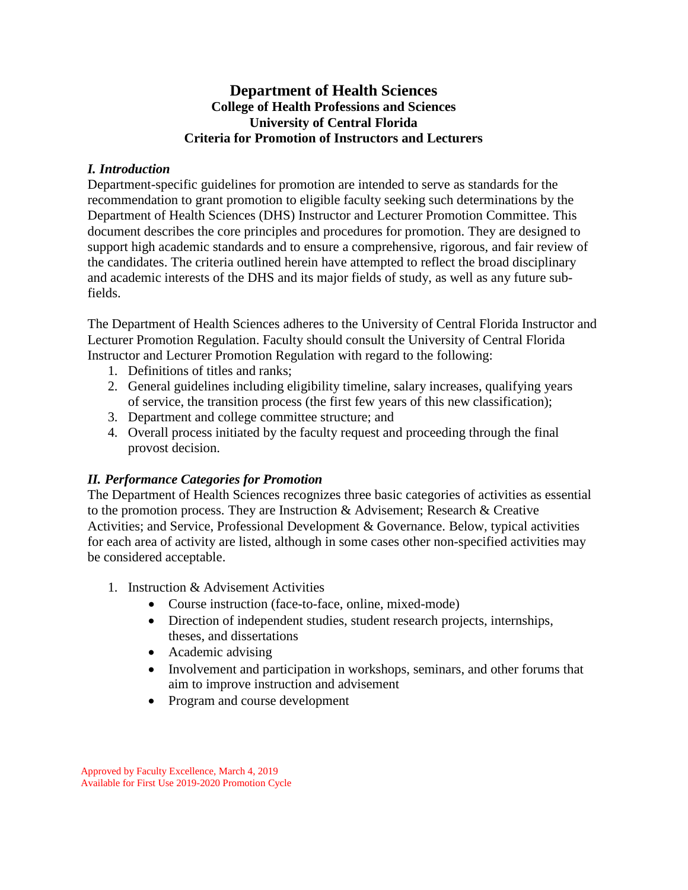## **Department of Health Sciences College of Health Professions and Sciences University of Central Florida Criteria for Promotion of Instructors and Lecturers**

### *I. Introduction*

Department-specific guidelines for promotion are intended to serve as standards for the recommendation to grant promotion to eligible faculty seeking such determinations by the Department of Health Sciences (DHS) Instructor and Lecturer Promotion Committee. This document describes the core principles and procedures for promotion. They are designed to support high academic standards and to ensure a comprehensive, rigorous, and fair review of the candidates. The criteria outlined herein have attempted to reflect the broad disciplinary and academic interests of the DHS and its major fields of study, as well as any future subfields.

The Department of Health Sciences adheres to the University of Central Florida Instructor and Lecturer Promotion Regulation. Faculty should consult the University of Central Florida Instructor and Lecturer Promotion Regulation with regard to the following:

- 1. Definitions of titles and ranks;
- 2. General guidelines including eligibility timeline, salary increases, qualifying years of service, the transition process (the first few years of this new classification);
- 3. Department and college committee structure; and
- 4. Overall process initiated by the faculty request and proceeding through the final provost decision.

# *II. Performance Categories for Promotion*

The Department of Health Sciences recognizes three basic categories of activities as essential to the promotion process. They are Instruction  $\&$  Advisement; Research  $\&$  Creative Activities; and Service, Professional Development & Governance. Below, typical activities for each area of activity are listed, although in some cases other non-specified activities may be considered acceptable.

- 1. Instruction & Advisement Activities
	- Course instruction (face-to-face, online, mixed-mode)
	- Direction of independent studies, student research projects, internships, theses, and dissertations
	- Academic advising
	- Involvement and participation in workshops, seminars, and other forums that aim to improve instruction and advisement
	- Program and course development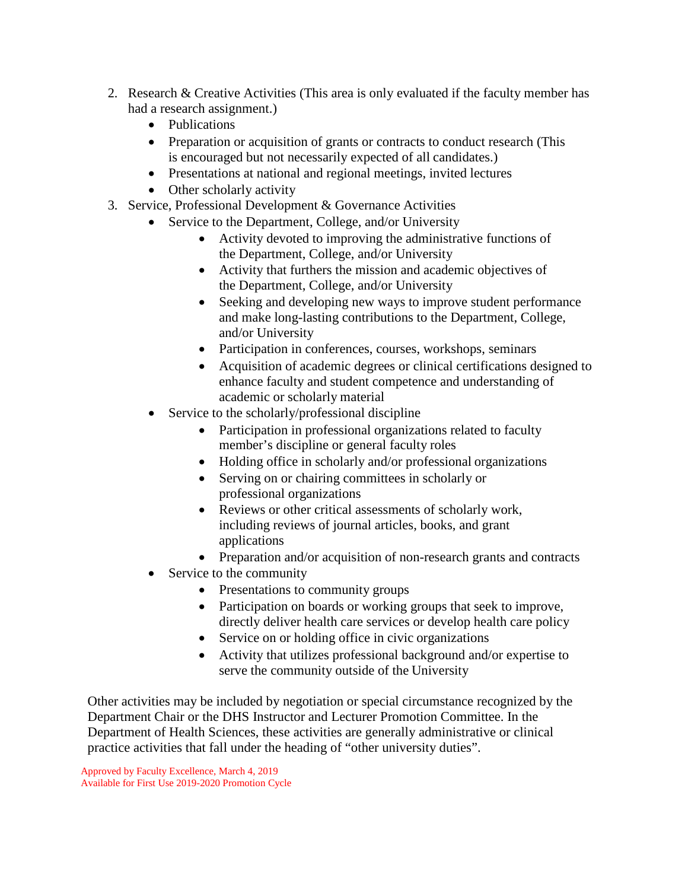- 2. Research & Creative Activities (This area is only evaluated if the faculty member has had a research assignment.)
	- Publications
	- Preparation or acquisition of grants or contracts to conduct research (This is encouraged but not necessarily expected of all candidates.)
	- Presentations at national and regional meetings, invited lectures
	- Other scholarly activity
- 3. Service, Professional Development & Governance Activities
	- Service to the Department, College, and/or University
		- Activity devoted to improving the administrative functions of the Department, College, and/or University
		- Activity that furthers the mission and academic objectives of the Department, College, and/or University
		- Seeking and developing new ways to improve student performance and make long-lasting contributions to the Department, College, and/or University
		- Participation in conferences, courses, workshops, seminars
		- Acquisition of academic degrees or clinical certifications designed to enhance faculty and student competence and understanding of academic or scholarly material
	- Service to the scholarly/professional discipline
		- Participation in professional organizations related to faculty member's discipline or general faculty roles
		- Holding office in scholarly and/or professional organizations
		- Serving on or chairing committees in scholarly or professional organizations
		- Reviews or other critical assessments of scholarly work, including reviews of journal articles, books, and grant applications
		- Preparation and/or acquisition of non-research grants and contracts
	- Service to the community
		- Presentations to community groups
		- Participation on boards or working groups that seek to improve, directly deliver health care services or develop health care policy
		- Service on or holding office in civic organizations
		- Activity that utilizes professional background and/or expertise to serve the community outside of the University

Other activities may be included by negotiation or special circumstance recognized by the Department Chair or the DHS Instructor and Lecturer Promotion Committee. In the Department of Health Sciences, these activities are generally administrative or clinical practice activities that fall under the heading of "other university duties".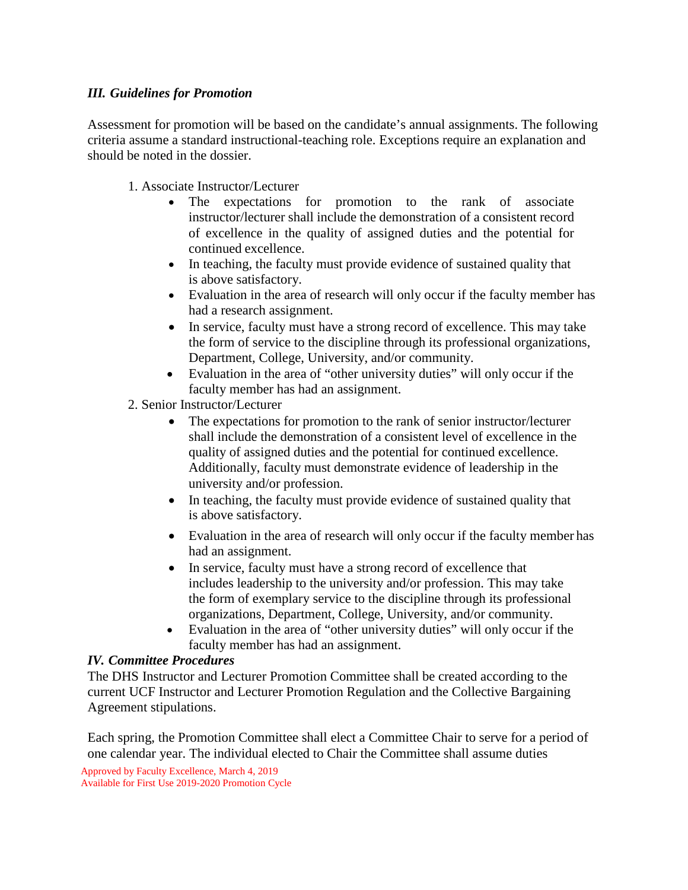#### *III. Guidelines for Promotion*

Assessment for promotion will be based on the candidate's annual assignments. The following criteria assume a standard instructional-teaching role. Exceptions require an explanation and should be noted in the dossier.

1. Associate Instructor/Lecturer

- The expectations for promotion to the rank of associate instructor/lecturer shall include the demonstration of a consistent record of excellence in the quality of assigned duties and the potential for continued excellence.
- In teaching, the faculty must provide evidence of sustained quality that is above satisfactory.
- Evaluation in the area of research will only occur if the faculty member has had a research assignment.
- In service, faculty must have a strong record of excellence. This may take the form of service to the discipline through its professional organizations, Department, College, University, and/or community.
- Evaluation in the area of "other university duties" will only occur if the faculty member has had an assignment.
- 2. Senior Instructor/Lecturer
	- The expectations for promotion to the rank of senior instructor/lecturer shall include the demonstration of a consistent level of excellence in the quality of assigned duties and the potential for continued excellence. Additionally, faculty must demonstrate evidence of leadership in the university and/or profession.
	- In teaching, the faculty must provide evidence of sustained quality that is above satisfactory.
	- Evaluation in the area of research will only occur if the faculty member has had an assignment.
	- In service, faculty must have a strong record of excellence that includes leadership to the university and/or profession. This may take the form of exemplary service to the discipline through its professional organizations, Department, College, University, and/or community.
	- Evaluation in the area of "other university duties" will only occur if the faculty member has had an assignment.

#### *IV. Committee Procedures*

The DHS Instructor and Lecturer Promotion Committee shall be created according to the current UCF Instructor and Lecturer Promotion Regulation and the Collective Bargaining Agreement stipulations.

Each spring, the Promotion Committee shall elect a Committee Chair to serve for a period of one calendar year. The individual elected to Chair the Committee shall assume duties